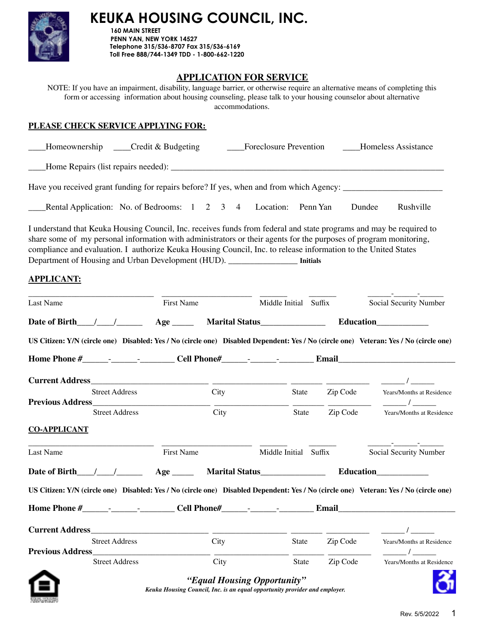

**160 MAIN STREET PENN YAN, NEW YORK 14527 Telephone 315/536-8707 Fax 315/536-6169 Toll Free 888/744-1349 TDD - 1-800-662-1220**

# **APPLICATION FOR SERVICE**

NOTE: If you have an impairment, disability, language barrier, or otherwise require an alternative means of completing this form or accessing information about housing counseling, please talk to your housing counselor about alternative accommodations.

### **PLEASE CHECK SERVICE APPLYING FOR:**

| $\text{Homeownership}$ $\text{--} \text{Credit} \& \text{Budgeting}$                                                                      |  |  | <b>Foreclosure Prevention</b> |                         | <b>Example Expanding Homeless Assistance</b> |           |
|-------------------------------------------------------------------------------------------------------------------------------------------|--|--|-------------------------------|-------------------------|----------------------------------------------|-----------|
| Home Repairs (list repairs needed):                                                                                                       |  |  |                               |                         |                                              |           |
| Have you received grant funding for repairs before? If yes, when and from which Agency:                                                   |  |  |                               |                         |                                              |           |
| Rental Application: No. of Bedrooms: 1 2 3 4 Location: Penn Yan                                                                           |  |  |                               |                         | Dundee                                       | Rushville |
| $\mathbf{r}$ , the $\mathbf{r}$ th $\mathbf{r}$ , $\mathbf{r}$ , $\mathbf{r}$ , $\mathbf{r}$ , $\mathbf{r}$ , $\mathbf{r}$ , $\mathbf{r}$ |  |  |                               | $\sim$ 10 01 1 1 $\sim$ |                                              |           |

I understand that Keuka Housing Council, Inc. receives funds from federal and state programs and may be required to share some of my personal information with administrators or their agents for the purposes of program monitoring, compliance and evaluation. I authorize Keuka Housing Council, Inc. to release information to the United States Department of Housing and Urban Development (HUD). \_\_\_\_\_\_\_\_\_\_\_\_\_\_\_\_ **Initials**

### **APPLICANT:**

| <b>Last Name</b>            |                       | <b>First Name</b> |                                                                                                           | Middle Initial Suffix |                | Social Security Number                                                                                                                |
|-----------------------------|-----------------------|-------------------|-----------------------------------------------------------------------------------------------------------|-----------------------|----------------|---------------------------------------------------------------------------------------------------------------------------------------|
| Date of Birth $\frac{1}{2}$ |                       |                   |                                                                                                           |                       |                |                                                                                                                                       |
|                             |                       |                   |                                                                                                           |                       |                | US Citizen: Y/N (circle one) Disabled: Yes / No (circle one) Disabled Dependent: Yes / No (circle one) Veteran: Yes / No (circle one) |
|                             |                       |                   |                                                                                                           |                       |                |                                                                                                                                       |
|                             |                       |                   |                                                                                                           |                       |                |                                                                                                                                       |
|                             | <b>Street Address</b> |                   | City                                                                                                      | State                 | Zip Code       | Years/Months at Residence<br>$\overline{1}$                                                                                           |
|                             | <b>Street Address</b> |                   | City                                                                                                      | State                 | Zip Code       | Years/Months at Residence                                                                                                             |
| <b>CO-APPLICANT</b>         |                       |                   |                                                                                                           |                       |                |                                                                                                                                       |
| <b>Last Name</b>            |                       | <b>First Name</b> |                                                                                                           | Middle Initial Suffix |                | Social Security Number                                                                                                                |
| Date of Birth $\frac{1}{2}$ |                       |                   |                                                                                                           |                       |                |                                                                                                                                       |
|                             |                       |                   |                                                                                                           |                       |                | US Citizen: Y/N (circle one) Disabled: Yes / No (circle one) Disabled Dependent: Yes / No (circle one) Veteran: Yes / No (circle one) |
|                             |                       |                   |                                                                                                           |                       |                |                                                                                                                                       |
|                             |                       |                   |                                                                                                           |                       |                | $\overline{1}$                                                                                                                        |
|                             | <b>Street Address</b> |                   | City                                                                                                      | State                 | Zip Code       | Years/Months at Residence<br>$\overline{1}$                                                                                           |
|                             | <b>Street Address</b> |                   | City                                                                                                      |                       | State Zip Code | Years/Months at Residence                                                                                                             |
|                             |                       |                   | "Equal Housing Opportunity"<br>Keuka Housing Council, Inc. is an equal opportunity provider and employer. |                       |                |                                                                                                                                       |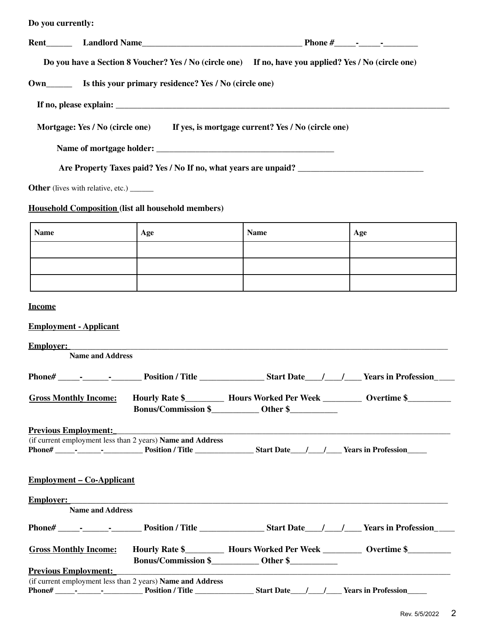| Do you currently:                                |                                                            |                                                                                                                                                                                                                                |     |
|--------------------------------------------------|------------------------------------------------------------|--------------------------------------------------------------------------------------------------------------------------------------------------------------------------------------------------------------------------------|-----|
|                                                  |                                                            | Rent Landlord Name Landlord Name Landlord Name Landlord Name Landlord Name Landlord Name Landlord Name Landlord Name Landlord Name Landlord Name Landlord Name Landlord Name Landlord Name Landlord Name Landlord Name Landlor |     |
|                                                  |                                                            | Do you have a Section 8 Voucher? Yes / No (circle one) If no, have you applied? Yes / No (circle one)                                                                                                                          |     |
|                                                  |                                                            |                                                                                                                                                                                                                                |     |
|                                                  |                                                            |                                                                                                                                                                                                                                |     |
|                                                  |                                                            | Mortgage: Yes / No (circle one) If yes, is mortgage current? Yes / No (circle one)                                                                                                                                             |     |
|                                                  |                                                            |                                                                                                                                                                                                                                |     |
|                                                  |                                                            |                                                                                                                                                                                                                                |     |
| <b>Other</b> (lives with relative, etc.) _______ |                                                            |                                                                                                                                                                                                                                |     |
|                                                  | <b>Household Composition (list all household members)</b>  |                                                                                                                                                                                                                                |     |
| <b>Name</b>                                      | Age                                                        | <b>Name</b>                                                                                                                                                                                                                    | Age |
|                                                  |                                                            |                                                                                                                                                                                                                                |     |
|                                                  |                                                            |                                                                                                                                                                                                                                |     |
|                                                  |                                                            |                                                                                                                                                                                                                                |     |
| <b>Income</b>                                    |                                                            |                                                                                                                                                                                                                                |     |
| <b>Employment - Applicant</b>                    |                                                            |                                                                                                                                                                                                                                |     |
| <b>Employer:</b><br><b>Name and Address</b>      |                                                            |                                                                                                                                                                                                                                |     |
|                                                  |                                                            |                                                                                                                                                                                                                                |     |
| <b>Gross Monthly Income:</b>                     |                                                            | Hourly Rate \$_____________ Hours Worked Per Week ____________ Overtime \$_________                                                                                                                                            |     |
| <b>Previous Employment:</b>                      |                                                            |                                                                                                                                                                                                                                |     |
|                                                  | (if current employment less than 2 years) Name and Address |                                                                                                                                                                                                                                |     |
| <u>Employment – Co-Applicant</u>                 |                                                            |                                                                                                                                                                                                                                |     |
| <b>Employer:</b>                                 |                                                            |                                                                                                                                                                                                                                |     |

| <b>Employer:</b>                        |                                              |                                          |                            |
|-----------------------------------------|----------------------------------------------|------------------------------------------|----------------------------|
| <b>Name and Address</b>                 |                                              |                                          |                            |
| Phone#<br>the company of the company of | <b>Position / Title</b>                      | <b>Start Date</b>                        | <b>Years in Profession</b> |
| <b>Gross Monthly Income:</b>            | Hourly Rate \$<br><b>Bonus/Commission \$</b> | <b>Hours Worked Per Week</b><br>Other \$ | Overtime \$                |
|                                         |                                              |                                          |                            |

| <b>Previous Employment:</b> |                          |  |                                                                   |                   |  |  |                            |
|-----------------------------|--------------------------|--|-------------------------------------------------------------------|-------------------|--|--|----------------------------|
|                             |                          |  | (if current employment less than 2 years) <b>Name and Address</b> |                   |  |  |                            |
| Phone#                      | $\overline{\phantom{a}}$ |  | <b>Position / Title</b>                                           | <b>Start Date</b> |  |  | <b>Years in Profession</b> |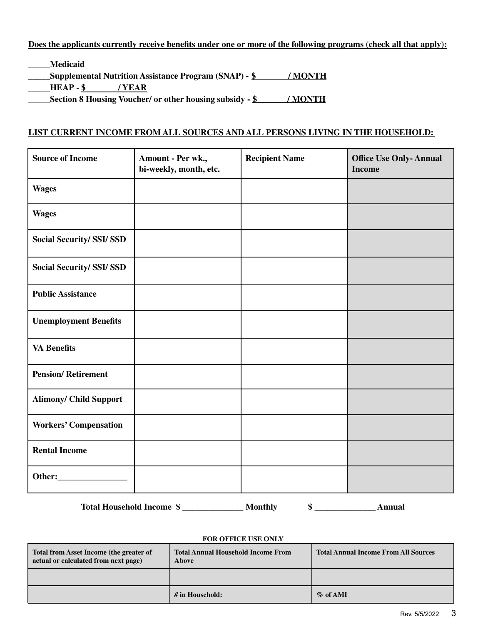#### Does the applicants currently receive benefits under one or more of the following programs (check all that apply):

- **\_\_\_\_\_Medicaid**
- **\_\_\_\_\_Supplemental Nutrition Assistance Program (SNAP) - \$ / MONTH**
- **\_\_\_\_\_HEAP - \$ / YEAR**

**\_\_\_\_\_Section 8 Housing Voucher/ or other housing subsidy - \$ / MONTH**

#### **LIST CURRENT INCOME FROM ALL SOURCES AND ALL PERSONS LIVING IN THE HOUSEHOLD:**

| <b>Source of Income</b>          | Amount - Per wk.,<br>bi-weekly, month, etc. | <b>Recipient Name</b> | <b>Office Use Only-Annual</b><br><b>Income</b> |
|----------------------------------|---------------------------------------------|-----------------------|------------------------------------------------|
| <b>Wages</b>                     |                                             |                       |                                                |
| <b>Wages</b>                     |                                             |                       |                                                |
| <b>Social Security/ SSI/ SSD</b> |                                             |                       |                                                |
| <b>Social Security/ SSI/ SSD</b> |                                             |                       |                                                |
| <b>Public Assistance</b>         |                                             |                       |                                                |
| <b>Unemployment Benefits</b>     |                                             |                       |                                                |
| <b>VA Benefits</b>               |                                             |                       |                                                |
| <b>Pension/Retirement</b>        |                                             |                       |                                                |
| <b>Alimony/ Child Support</b>    |                                             |                       |                                                |
| <b>Workers' Compensation</b>     |                                             |                       |                                                |
| <b>Rental Income</b>             |                                             |                       |                                                |
|                                  |                                             |                       |                                                |
| <b>Total Household Income \$</b> |                                             | <b>Monthly</b><br>\$  | <b>Annual</b>                                  |

#### **FOR OFFICE USE ONLY**

| Total from Asset Income (the greater of<br>  actual or calculated from next page) | <b>Total Annual Household Income From</b><br><b>Above</b> | <b>Total Annual Income From All Sources</b> |
|-----------------------------------------------------------------------------------|-----------------------------------------------------------|---------------------------------------------|
|                                                                                   |                                                           |                                             |
|                                                                                   | # in Household:                                           | $\%$ of AMI                                 |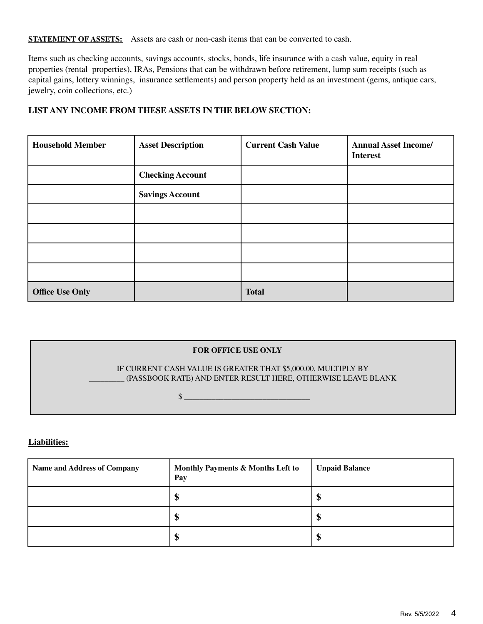**STATEMENT OF ASSETS:** Assets are cash or non-cash items that can be converted to cash.

Items such as checking accounts, savings accounts, stocks, bonds, life insurance with a cash value, equity in real properties (rental properties), IRAs, Pensions that can be withdrawn before retirement, lump sum receipts (such as capital gains, lottery winnings, insurance settlements) and person property held as an investment (gems, antique cars, jewelry, coin collections, etc.)

#### **LIST ANY INCOME FROM THESE ASSETS IN THE BELOW SECTION:**

| <b>Household Member</b> | <b>Asset Description</b> | <b>Current Cash Value</b> | <b>Annual Asset Income/</b><br><b>Interest</b> |
|-------------------------|--------------------------|---------------------------|------------------------------------------------|
|                         | <b>Checking Account</b>  |                           |                                                |
|                         | <b>Savings Account</b>   |                           |                                                |
|                         |                          |                           |                                                |
|                         |                          |                           |                                                |
|                         |                          |                           |                                                |
|                         |                          |                           |                                                |
| <b>Office Use Only</b>  |                          | <b>Total</b>              |                                                |

# **FOR OFFICE USE ONLY** IF CURRENT CASH VALUE IS GREATER THAT \$5,000.00, MULTIPLY BY \_\_\_\_\_\_\_\_\_ (PASSBOOK RATE) AND ENTER RESULT HERE, OTHERWISE LEAVE BLANK  $\frac{12}{2}$

#### **Liabilities:**

| <b>Name and Address of Company</b> | Monthly Payments & Months Left to<br>Pay | <b>Unpaid Balance</b> |
|------------------------------------|------------------------------------------|-----------------------|
|                                    | ۸D                                       | J                     |
|                                    | M<br>۱J                                  | Œ                     |
|                                    | m<br>Φ                                   | Œ                     |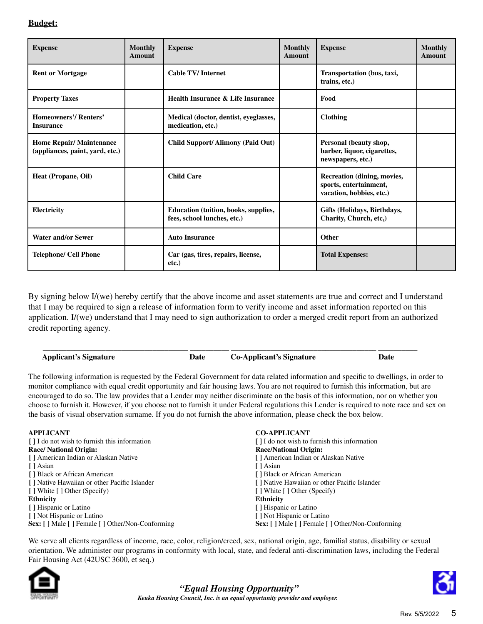#### **Budget:**

| <b>Expense</b>                                                    | <b>Monthly</b><br>Amount | <b>Expense</b>                                                      | <b>Monthly</b><br>Amount | <b>Expense</b>                                                                    | <b>Monthly</b><br>Amount |
|-------------------------------------------------------------------|--------------------------|---------------------------------------------------------------------|--------------------------|-----------------------------------------------------------------------------------|--------------------------|
| <b>Rent or Mortgage</b>                                           |                          | <b>Cable TV/Internet</b>                                            |                          | Transportation (bus, taxi,<br>trains, etc.)                                       |                          |
| <b>Property Taxes</b>                                             |                          | <b>Health Insurance &amp; Life Insurance</b>                        |                          | Food                                                                              |                          |
| <b>Homeowners'/Renters'</b><br><b>Insurance</b>                   |                          | Medical (doctor, dentist, eyeglasses,<br>medication, etc.)          |                          | <b>Clothing</b>                                                                   |                          |
| <b>Home Repair/Maintenance</b><br>(appliances, paint, yard, etc.) |                          | Child Support/ Alimony (Paid Out)                                   |                          | Personal (beauty shop,<br>barber, liquor, cigarettes,<br>newspapers, etc.)        |                          |
| Heat (Propane, Oil)                                               |                          | <b>Child Care</b>                                                   |                          | Recreation (dining, movies,<br>sports, entertainment,<br>vacation, hobbies, etc.) |                          |
| Electricity                                                       |                          | Education (tuition, books, supplies,<br>fees, school lunches, etc.) |                          | Gifts (Holidays, Birthdays,<br>Charity, Church, etc,)                             |                          |
| <b>Water and/or Sewer</b>                                         |                          | <b>Auto Insurance</b>                                               |                          | Other                                                                             |                          |
| <b>Telephone/ Cell Phone</b>                                      |                          | Car (gas, tires, repairs, license,<br>$etc.$ )                      |                          | <b>Total Expenses:</b>                                                            |                          |

By signing below I/(we) hereby certify that the above income and asset statements are true and correct and I understand that I may be required to sign a release of information form to verify income and asset information reported on this application. I/(we) understand that I may need to sign authorization to order a merged credit report from an authorized credit reporting agency.

\_\_\_\_\_\_\_\_\_\_\_\_\_\_\_\_\_\_\_\_\_\_\_\_\_\_\_\_\_\_\_\_\_\_\_\_\_ \_\_\_\_\_\_\_\_\_\_ \_\_\_\_\_\_\_\_\_\_\_\_\_\_\_\_\_\_\_\_\_\_\_\_\_\_\_\_\_\_\_\_\_\_\_\_\_ \_\_\_\_\_\_\_\_\_\_

**Applicant's Signature Date Co-Applicant's Signature Date**

The following information is requested by the Federal Government for data related information and specific to dwellings, in order to monitor compliance with equal credit opportunity and fair housing laws. You are not required to furnish this information, but are encouraged to do so. The law provides that a Lender may neither discriminate on the basis of this information, nor on whether you choose to furnish it. However, if you choose not to furnish it under Federal regulations this Lender is required to note race and sex on the basis of visual observation surname. If you do not furnish the above information, please check the box below.

| <b>APPLICANT</b>                                  | <b>CO-APPLICANT</b>                                      |
|---------------------------------------------------|----------------------------------------------------------|
| [ ] I do not wish to furnish this information     | [ ] I do not wish to furnish this information            |
| <b>Race/ National Origin:</b>                     | <b>Race/National Origin:</b>                             |
| [ ] American Indian or Alaskan Native             | [ ] American Indian or Alaskan Native                    |
| [ ] Asian                                         | [ ] Asian                                                |
| [ ] Black or African American                     | [ ] Black or African American                            |
| [] Native Hawaiian or other Pacific Islander      | [] Native Hawaiian or other Pacific Islander             |
| [] White [] Other (Specify)                       | [ ] White [ ] Other (Specify)                            |
| <b>Ethnicity</b>                                  | <b>Ethnicity</b>                                         |
| [] Hispanic or Latino                             | [] Hispanic or Latino                                    |
| [] Not Hispanic or Latino                         | [ ] Not Hispanic or Latino                               |
| Sex: [ ] Male [ ] Female [ ] Other/Non-Conforming | <b>Sex:</b> [ ] Male [ ] Female [ ] Other/Non-Conforming |

We serve all clients regardless of income, race, color, religion/creed, sex, national origin, age, familial status, disability or sexual orientation. We administer our programs in conformity with local, state, and federal anti-discrimination laws, including the Federal Fair Housing Act (42USC 3600, et seq.)





*"Equal Housing Opportunity" Keuka Housing Council, Inc. is an equal opportunity provider and employer.*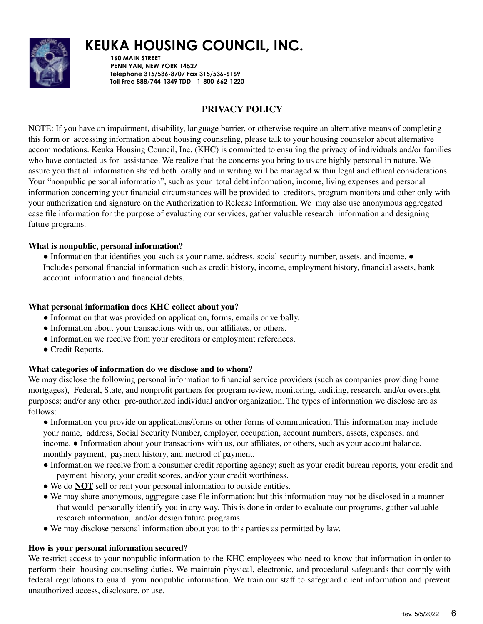

**160 MAIN STREET PENN YAN, NEW YORK 14527 Telephone 315/536-8707 Fax 315/536-6169 Toll Free 888/744-1349 TDD - 1-800-662-1220**

# **PRIVACY POLICY**

NOTE: If you have an impairment, disability, language barrier, or otherwise require an alternative means of completing this form or accessing information about housing counseling, please talk to your housing counselor about alternative accommodations. Keuka Housing Council, Inc. (KHC) is committed to ensuring the privacy of individuals and/or families who have contacted us for assistance. We realize that the concerns you bring to us are highly personal in nature. We assure you that all information shared both orally and in writing will be managed within legal and ethical considerations. Your "nonpublic personal information", such as your total debt information, income, living expenses and personal information concerning your financial circumstances will be provided to creditors, program monitors and other only with your authorization and signature on the Authorization to Release Information. We may also use anonymous aggregated case file information for the purpose of evaluating our services, gather valuable research information and designing future programs.

#### **What is nonpublic, personal information?**

• Information that identifies you such as your name, address, social security number, assets, and income. • Includes personal financial information such as credit history, income, employment history, financial assets, bank account information and financial debts.

#### **What personal information does KHC collect about you?**

- Information that was provided on application, forms, emails or verbally.
- Information about your transactions with us, our affiliates, or others.
- Information we receive from your creditors or employment references.
- Credit Reports.

#### **What categories of information do we disclose and to whom?**

We may disclose the following personal information to financial service providers (such as companies providing home mortgages), Federal, State, and nonprofit partners for program review, monitoring, auditing, research, and/or oversight purposes; and/or any other pre-authorized individual and/or organization. The types of information we disclose are as follows:

● Information you provide on applications/forms or other forms of communication. This information may include your name, address, Social Security Number, employer, occupation, account numbers, assets, expenses, and income. ● Information about your transactions with us, our affiliates, or others, such as your account balance, monthly payment, payment history, and method of payment.

- Information we receive from a consumer credit reporting agency; such as your credit bureau reports, your credit and payment history, your credit scores, and/or your credit worthiness.
- We do **NOT** sell or rent your personal information to outside entities.
- We may share anonymous, aggregate case file information; but this information may not be disclosed in a manner that would personally identify you in any way. This is done in order to evaluate our programs, gather valuable research information, and/or design future programs
- We may disclose personal information about you to this parties as permitted by law.

#### **How is your personal information secured?**

We restrict access to your nonpublic information to the KHC employees who need to know that information in order to perform their housing counseling duties. We maintain physical, electronic, and procedural safeguards that comply with federal regulations to guard your nonpublic information. We train our staff to safeguard client information and prevent unauthorized access, disclosure, or use.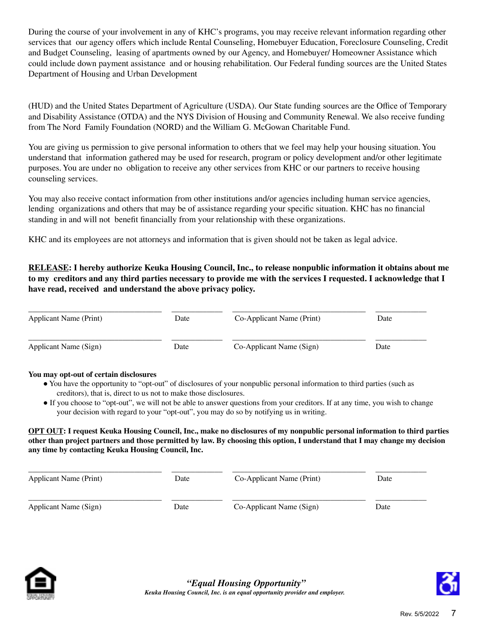During the course of your involvement in any of KHC's programs, you may receive relevant information regarding other services that our agency offers which include Rental Counseling, Homebuyer Education, Foreclosure Counseling, Credit and Budget Counseling, leasing of apartments owned by our Agency, and Homebuyer/ Homeowner Assistance which could include down payment assistance and or housing rehabilitation. Our Federal funding sources are the United States Department of Housing and Urban Development

(HUD) and the United States Department of Agriculture (USDA). Our State funding sources are the Office of Temporary and Disability Assistance (OTDA) and the NYS Division of Housing and Community Renewal. We also receive funding from The Nord Family Foundation (NORD) and the William G. McGowan Charitable Fund.

You are giving us permission to give personal information to others that we feel may help your housing situation. You understand that information gathered may be used for research, program or policy development and/or other legitimate purposes. You are under no obligation to receive any other services from KHC or our partners to receive housing counseling services.

You may also receive contact information from other institutions and/or agencies including human service agencies, lending organizations and others that may be of assistance regarding your specific situation. KHC has no financial standing in and will not benefit financially from your relationship with these organizations.

KHC and its employees are not attorneys and information that is given should not be taken as legal advice.

### **RELEASE: I hereby authorize Keuka Housing Council, Inc., to release nonpublic information it obtains about me** to my creditors and any third parties necessary to provide me with the services I requested. I acknowledge that I **have read, received and understand the above privacy policy.**

| Applicant Name (Print) | Date | Co-Applicant Name (Print) | Date |
|------------------------|------|---------------------------|------|
| Applicant Name (Sign)  | Date | Co-Applicant Name (Sign)  | Date |

#### **You may opt-out of certain disclosures**

- You have the opportunity to "opt-out" of disclosures of your nonpublic personal information to third parties (such as creditors), that is, direct to us not to make those disclosures.
- If you choose to "opt-out", we will not be able to answer questions from your creditors. If at any time, you wish to change your decision with regard to your "opt-out", you may do so by notifying us in writing.

#### OPT OUT: I request Keuka Housing Council, Inc., make no disclosures of my nonpublic personal information to third parties other than project partners and those permitted by law. By choosing this option, I understand that I may change my decision **any time by contacting Keuka Housing Council, Inc.**

| Applicant Name (Print) | Date | Co-Applicant Name (Print) | Date |
|------------------------|------|---------------------------|------|
| Applicant Name (Sign)  | Date | Co-Applicant Name (Sign)  | Date |



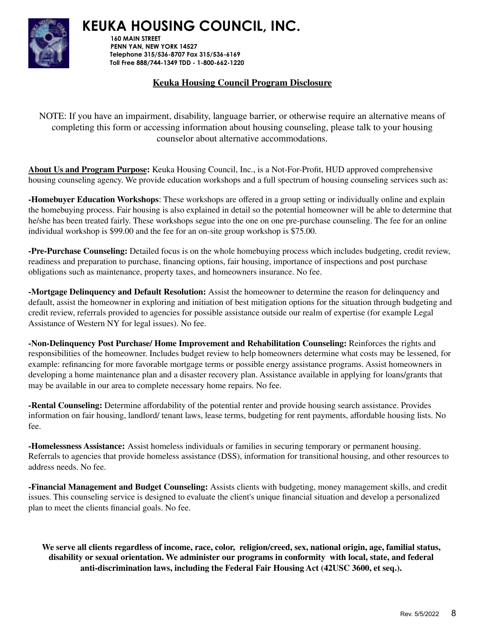

**160 MAIN STREET PENN YAN, NEW YORK 14527 Telephone 315/536-8707 Fax 315/536-6169 Toll Free 888/744-1349 TDD - 1-800-662-1220**

# **Keuka Housing Council Program Disclosure**

NOTE: If you have an impairment, disability, language barrier, or otherwise require an alternative means of completing this form or accessing information about housing counseling, please talk to your housing counselor about alternative accommodations.

**About Us and Program Purpose:** Keuka Housing Council, Inc., is a Not-For-Profit, HUD approved comprehensive housing counseling agency. We provide education workshops and a full spectrum of housing counseling services such as:

**-Homebuyer Education Workshops**: These workshops are offered in a group setting or individually online and explain the homebuying process. Fair housing is also explained in detail so the potential homeowner will be able to determine that he/she has been treated fairly. These workshops segue into the one on one pre-purchase counseling. The fee for an online individual workshop is \$99.00 and the fee for an on-site group workshop is \$75.00.

**-Pre-Purchase Counseling:** Detailed focus is on the whole homebuying process which includes budgeting, credit review, readiness and preparation to purchase, financing options, fair housing, importance of inspections and post purchase obligations such as maintenance, property taxes, and homeowners insurance. No fee.

**-Mortgage Delinquency and Default Resolution:** Assist the homeowner to determine the reason for delinquency and default, assist the homeowner in exploring and initiation of best mitigation options for the situation through budgeting and credit review, referrals provided to agencies for possible assistance outside our realm of expertise (for example Legal Assistance of Western NY for legal issues). No fee.

**-Non-Delinquency Post Purchase/ Home Improvement and Rehabilitation Counseling:** Reinforces the rights and responsibilities of the homeowner. Includes budget review to help homeowners determine what costs may be lessened, for example: refinancing for more favorable mortgage terms or possible energy assistance programs. Assist homeowners in developing a home maintenance plan and a disaster recovery plan. Assistance available in applying for loans/grants that may be available in our area to complete necessary home repairs. No fee.

**-Rental Counseling:** Determine affordability of the potential renter and provide housing search assistance. Provides information on fair housing, landlord/ tenant laws, lease terms, budgeting for rent payments, affordable housing lists. No fee.

**-Homelessness Assistance:** Assist homeless individuals or families in securing temporary or permanent housing. Referrals to agencies that provide homeless assistance (DSS), information for transitional housing, and other resources to address needs. No fee.

**-Financial Management and Budget Counseling:** Assists clients with budgeting, money management skills, and credit issues. This counseling service is designed to evaluate the client's unique financial situation and develop a personalized plan to meet the clients financial goals. No fee.

We serve all clients regardless of income, race, color, religion/creed, sex, national origin, age, familial status, **disability or sexual orientation. We administer our programs in conformity with local, state, and federal anti-discrimination laws, including the Federal Fair Housing Act (42USC 3600, et seq.).**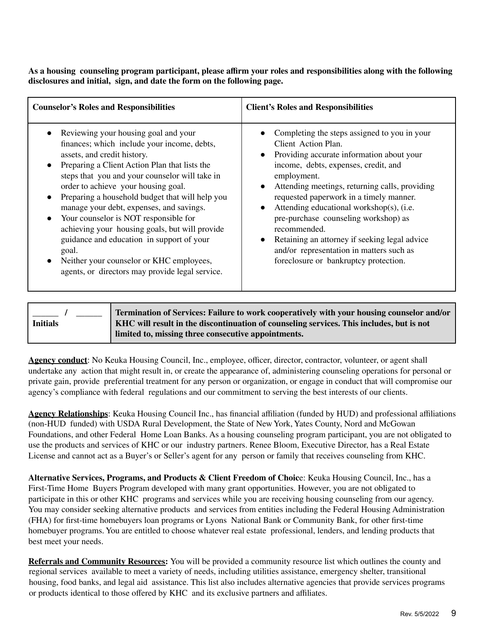As a housing counseling program participant, please affirm your roles and responsibilities along with the following **disclosures and initial, sign, and date the form on the following page.**

| <b>Counselor's Roles and Responsibilities</b>                                                                                                                                                                                                                                                                                                                                                                                                                                                                                                                                                                                         | <b>Client's Roles and Responsibilities</b>                                                                                                                                                                                                                                                                                                                                                                                                                                                                     |
|---------------------------------------------------------------------------------------------------------------------------------------------------------------------------------------------------------------------------------------------------------------------------------------------------------------------------------------------------------------------------------------------------------------------------------------------------------------------------------------------------------------------------------------------------------------------------------------------------------------------------------------|----------------------------------------------------------------------------------------------------------------------------------------------------------------------------------------------------------------------------------------------------------------------------------------------------------------------------------------------------------------------------------------------------------------------------------------------------------------------------------------------------------------|
| Reviewing your housing goal and your<br>finances; which include your income, debts,<br>assets, and credit history.<br>Preparing a Client Action Plan that lists the<br>$\bullet$<br>steps that you and your counselor will take in<br>order to achieve your housing goal.<br>Preparing a household budget that will help you<br>$\bullet$<br>manage your debt, expenses, and savings.<br>Your counselor is NOT responsible for<br>achieving your housing goals, but will provide<br>guidance and education in support of your<br>goal.<br>Neither your counselor or KHC employees,<br>agents, or directors may provide legal service. | Completing the steps assigned to you in your<br>Client Action Plan.<br>Providing accurate information about your<br>income, debts, expenses, credit, and<br>employment.<br>Attending meetings, returning calls, providing<br>requested paperwork in a timely manner.<br>Attending educational workshop(s), (i.e.<br>pre-purchase counseling workshop) as<br>recommended.<br>Retaining an attorney if seeking legal advice<br>and/or representation in matters such as<br>foreclosure or bankruptcy protection. |

|                 | Termination of Services: Failure to work cooperatively with your housing counselor and/or |
|-----------------|-------------------------------------------------------------------------------------------|
| <b>Initials</b> | KHC will result in the discontinuation of counseling services. This includes, but is not  |
|                 | limited to, missing three consecutive appointments.                                       |

**Agency conduct**: No Keuka Housing Council, Inc., employee, officer, director, contractor, volunteer, or agent shall undertake any action that might result in, or create the appearance of, administering counseling operations for personal or private gain, provide preferential treatment for any person or organization, or engage in conduct that will compromise our agency's compliance with federal regulations and our commitment to serving the best interests of our clients.

**Agency Relationships**: Keuka Housing Council Inc., has financial affiliation (funded by HUD) and professional affiliations (non-HUD funded) with USDA Rural Development, the State of New York, Yates County, Nord and McGowan Foundations, and other Federal Home Loan Banks. As a housing counseling program participant, you are not obligated to use the products and services of KHC or our industry partners. Renee Bloom, Executive Director, has a Real Estate License and cannot act as a Buyer's or Seller's agent for any person or family that receives counseling from KHC.

**Alternative Services, Programs, and Products & Client Freedom of Choic**e: Keuka Housing Council, Inc., has a First-Time Home Buyers Program developed with many grant opportunities. However, you are not obligated to participate in this or other KHC programs and services while you are receiving housing counseling from our agency. You may consider seeking alternative products and services from entities including the Federal Housing Administration (FHA) for first-time homebuyers loan programs or Lyons National Bank or Community Bank, for other first-time homebuyer programs. You are entitled to choose whatever real estate professional, lenders, and lending products that best meet your needs.

**Referrals and Community Resources:** You will be provided a community resource list which outlines the county and regional services available to meet a variety of needs, including utilities assistance, emergency shelter, transitional housing, food banks, and legal aid assistance. This list also includes alternative agencies that provide services programs or products identical to those offered by KHC and its exclusive partners and affiliates.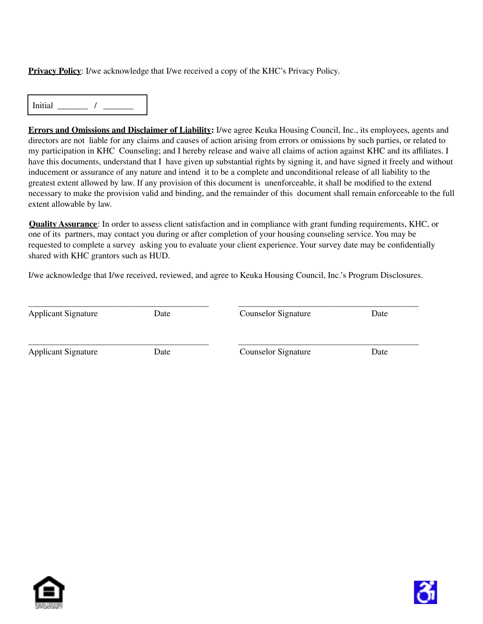**Privacy Policy**: I/we acknowledge that I/we received a copy of the KHC's Privacy Policy.

 $Initial \begin{array}{ccc} \hline \end{array}$  / \_\_\_\_\_\_\_\_

**Errors and Omissions and Disclaimer of Liability:** I/we agree Keuka Housing Council, Inc., its employees, agents and directors are not liable for any claims and causes of action arising from errors or omissions by such parties, or related to my participation in KHC Counseling; and I hereby release and waive all claims of action against KHC and its affiliates. I have this documents, understand that I have given up substantial rights by signing it, and have signed it freely and without inducement or assurance of any nature and intend it to be a complete and unconditional release of all liability to the greatest extent allowed by law. If any provision of this document is unenforceable, it shall be modified to the extend necessary to make the provision valid and binding, and the remainder of this document shall remain enforceable to the full extent allowable by law.

**Quality Assurance**: In order to assess client satisfaction and in compliance with grant funding requirements, KHC, or one of its partners, may contact you during or after completion of your housing counseling service. You may be requested to complete a survey asking you to evaluate your client experience. Your survey date may be confidentially shared with KHC grantors such as HUD.

I/we acknowledge that I/we received, reviewed, and agree to Keuka Housing Council, Inc.'s Program Disclosures.

| <b>Applicant Signature</b> | Date | <b>Counselor Signature</b> | Date |
|----------------------------|------|----------------------------|------|
| <b>Applicant Signature</b> | Date | <b>Counselor Signature</b> | Date |